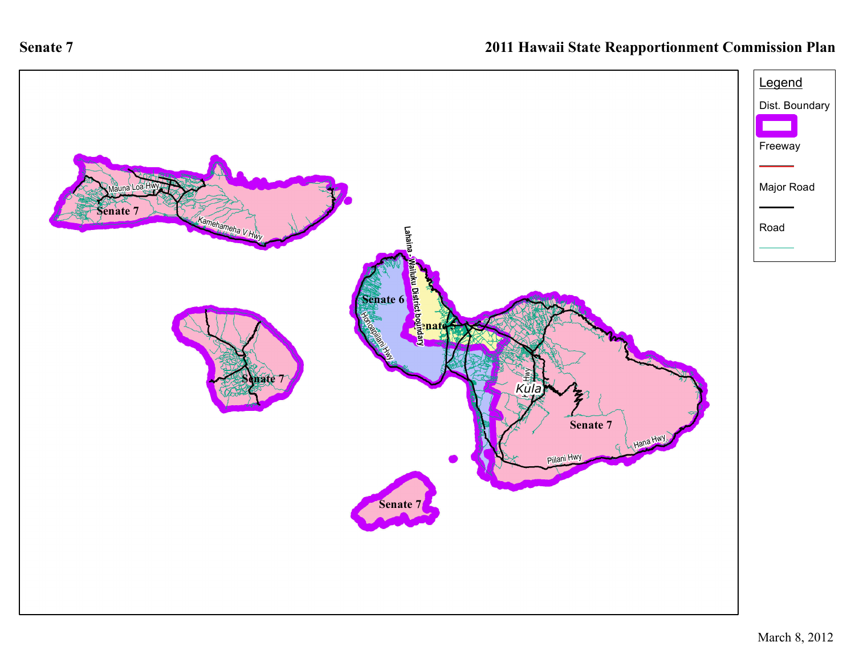